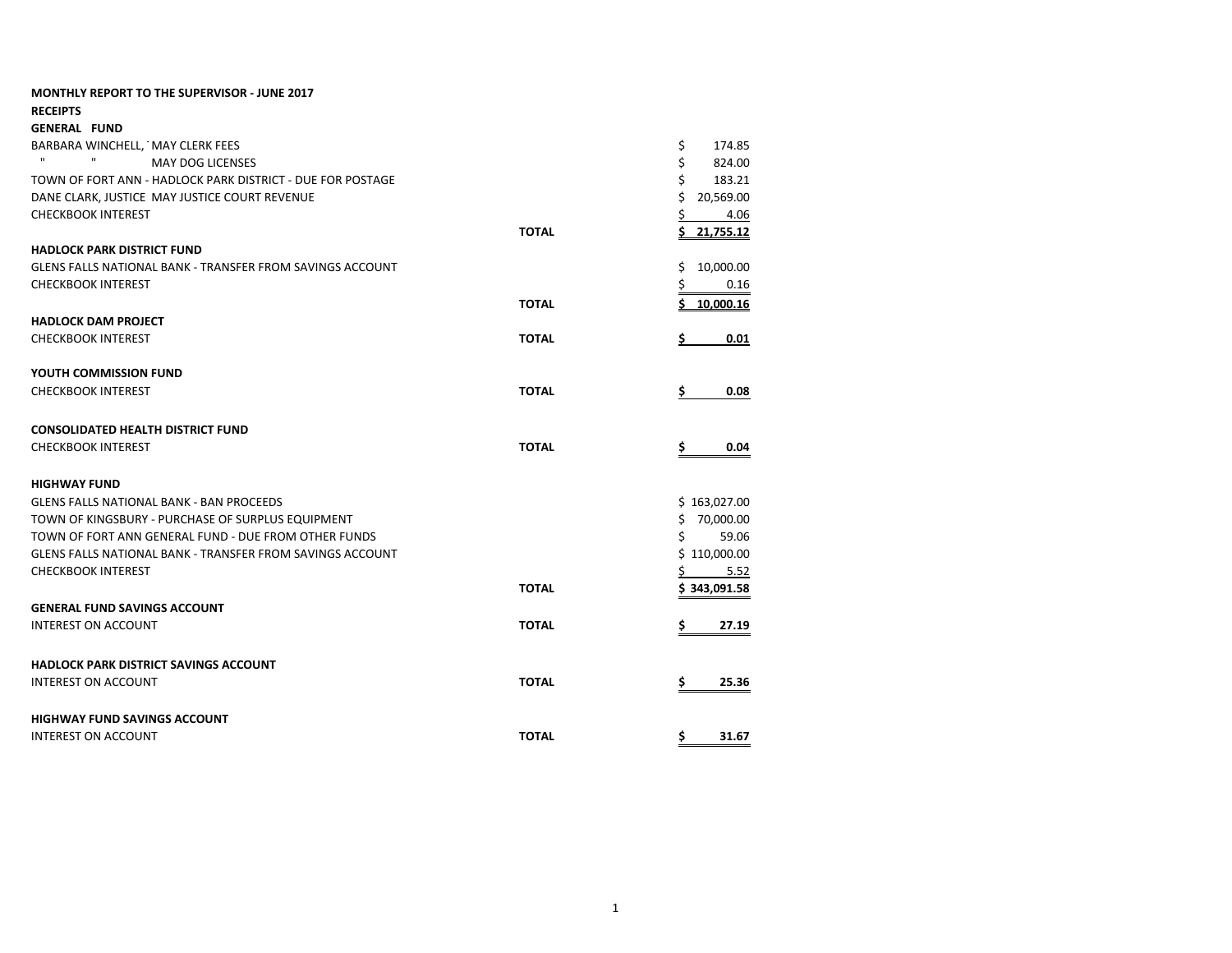| <b>MONTHLY REPORT TO THE SUPERVISOR - JUNE 2017</b>              |              |                 |
|------------------------------------------------------------------|--------------|-----------------|
| <b>RECEIPTS</b>                                                  |              |                 |
| <b>GENERAL FUND</b>                                              |              |                 |
| BARBARA WINCHELL, MAY CLERK FEES                                 |              | \$<br>174.85    |
| $\mathbf{H}$<br>$\mathbf{H}$<br><b>MAY DOG LICENSES</b>          |              | \$<br>824.00    |
| TOWN OF FORT ANN - HADLOCK PARK DISTRICT - DUE FOR POSTAGE       |              | \$<br>183.21    |
| DANE CLARK, JUSTICE MAY JUSTICE COURT REVENUE                    |              | Ś<br>20,569.00  |
| <b>CHECKBOOK INTEREST</b>                                        |              | \$<br>4.06      |
|                                                                  | <b>TOTAL</b> | Ś<br>21,755.12  |
| <b>HADLOCK PARK DISTRICT FUND</b>                                |              |                 |
| <b>GLENS FALLS NATIONAL BANK - TRANSFER FROM SAVINGS ACCOUNT</b> |              | \$<br>10,000.00 |
| <b>CHECKBOOK INTEREST</b>                                        |              | \$<br>0.16      |
|                                                                  | <b>TOTAL</b> | Ś<br>10,000.16  |
| <b>HADLOCK DAM PROJECT</b>                                       |              |                 |
| <b>CHECKBOOK INTEREST</b>                                        | <b>TOTAL</b> | 0.01<br>s       |
| YOUTH COMMISSION FUND                                            |              |                 |
| <b>CHECKBOOK INTEREST</b>                                        | <b>TOTAL</b> | 0.08<br>s       |
| <b>CONSOLIDATED HEALTH DISTRICT FUND</b>                         |              |                 |
| <b>CHECKBOOK INTEREST</b>                                        | <b>TOTAL</b> | 0.04<br>s       |
| <b>HIGHWAY FUND</b>                                              |              |                 |
| <b>GLENS FALLS NATIONAL BANK - BAN PROCEEDS</b>                  |              | \$163,027.00    |
| TOWN OF KINGSBURY - PURCHASE OF SURPLUS EQUIPMENT                |              | \$<br>70,000.00 |
| TOWN OF FORT ANN GENERAL FUND - DUE FROM OTHER FUNDS             |              | \$<br>59.06     |
| <b>GLENS FALLS NATIONAL BANK - TRANSFER FROM SAVINGS ACCOUNT</b> |              | \$110,000.00    |
| <b>CHECKBOOK INTEREST</b>                                        |              | 5.52            |
|                                                                  | <b>TOTAL</b> | \$343,091.58    |
| <b>GENERAL FUND SAVINGS ACCOUNT</b>                              |              |                 |
| <b>INTEREST ON ACCOUNT</b>                                       | <b>TOTAL</b> | Ś<br>27.19      |
| <b>HADLOCK PARK DISTRICT SAVINGS ACCOUNT</b>                     |              |                 |
| <b>INTEREST ON ACCOUNT</b>                                       | <b>TOTAL</b> | 25.36<br>\$     |
| <b>HIGHWAY FUND SAVINGS ACCOUNT</b>                              |              |                 |
| <b>INTEREST ON ACCOUNT</b>                                       | <b>TOTAL</b> | \$<br>31.67     |
|                                                                  |              |                 |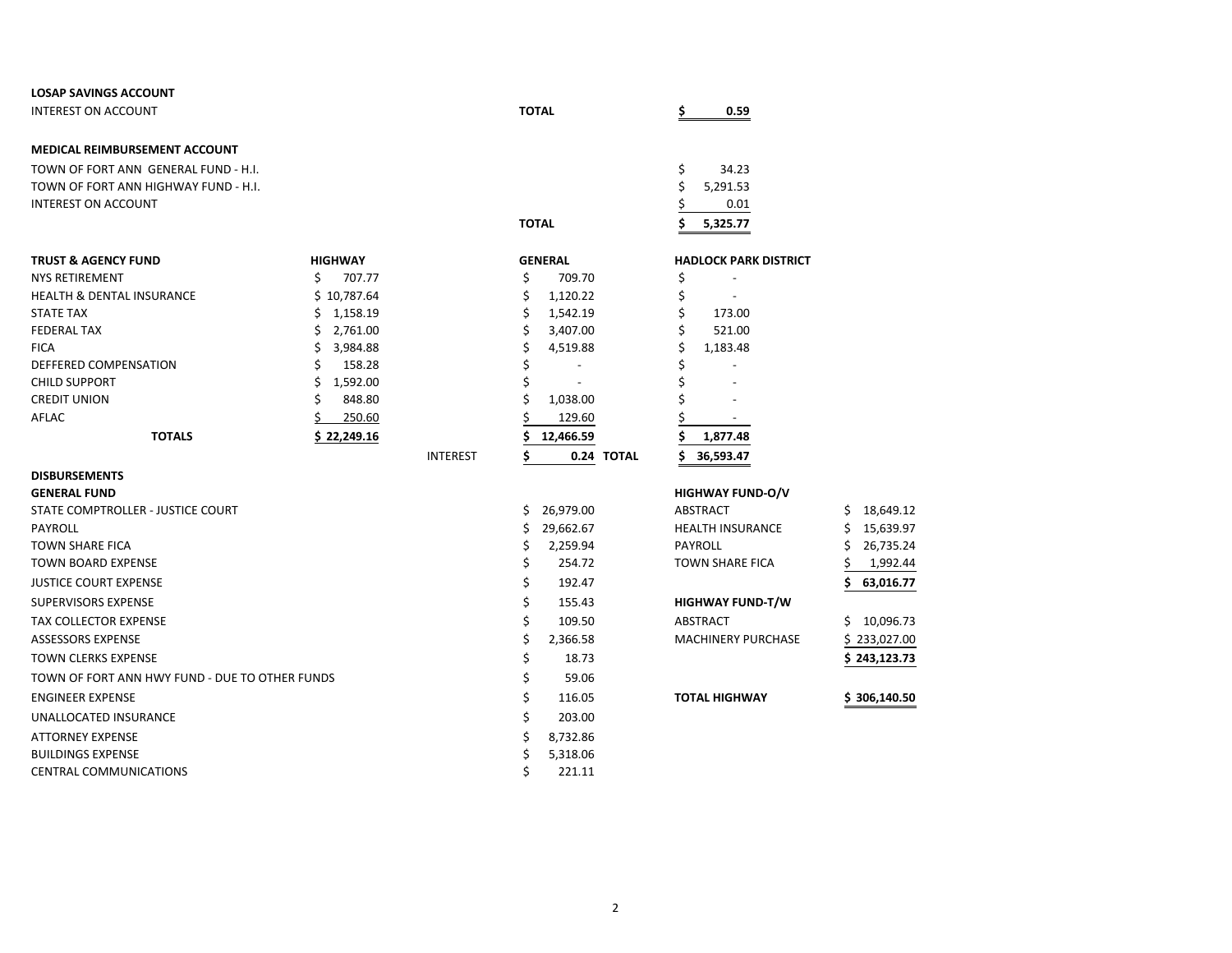| <b>LOSAP SAVINGS ACCOUNT</b>                   |                |                 |                      |                              |                 |
|------------------------------------------------|----------------|-----------------|----------------------|------------------------------|-----------------|
| <b>INTEREST ON ACCOUNT</b>                     |                |                 | <b>TOTAL</b>         | 0.59<br>s                    |                 |
| <b>MEDICAL REIMBURSEMENT ACCOUNT</b>           |                |                 |                      |                              |                 |
| TOWN OF FORT ANN GENERAL FUND - H.I.           |                |                 |                      | \$<br>34.23                  |                 |
| TOWN OF FORT ANN HIGHWAY FUND - H.I.           |                |                 |                      | Ś<br>5,291.53                |                 |
| <b>INTEREST ON ACCOUNT</b>                     |                |                 |                      | 0.01                         |                 |
|                                                |                |                 | <b>TOTAL</b>         | 5,325.77                     |                 |
| <b>TRUST &amp; AGENCY FUND</b>                 | <b>HIGHWAY</b> |                 | <b>GENERAL</b>       | <b>HADLOCK PARK DISTRICT</b> |                 |
| <b>NYS RETIREMENT</b>                          | Ś<br>707.77    |                 | \$<br>709.70         | \$                           |                 |
| <b>HEALTH &amp; DENTAL INSURANCE</b>           | \$10,787.64    |                 | \$<br>1,120.22       | \$                           |                 |
| <b>STATE TAX</b>                               | \$<br>1,158.19 |                 | \$<br>1,542.19       | \$<br>173.00                 |                 |
| <b>FEDERAL TAX</b>                             | Ś.<br>2,761.00 |                 | Ś<br>3,407.00        | 521.00                       |                 |
| <b>FICA</b>                                    | \$<br>3,984.88 |                 | \$<br>4,519.88       | \$<br>1,183.48               |                 |
| DEFFERED COMPENSATION                          | \$<br>158.28   |                 | \$                   |                              |                 |
| <b>CHILD SUPPORT</b>                           | \$<br>1,592.00 |                 | \$<br>$\overline{a}$ |                              |                 |
| <b>CREDIT UNION</b>                            | Ś<br>848.80    |                 | Ś<br>1,038.00        |                              |                 |
| AFLAC                                          | 250.60         |                 | 129.60               |                              |                 |
| <b>TOTALS</b>                                  | \$22,249.16    |                 | 12,466.59            | 1,877.48                     |                 |
|                                                |                | <b>INTEREST</b> | Ś<br>0.24 TOTAL      | 36,593.47                    |                 |
| <b>DISBURSEMENTS</b>                           |                |                 |                      |                              |                 |
| <b>GENERAL FUND</b>                            |                |                 |                      | <b>HIGHWAY FUND-O/V</b>      |                 |
| STATE COMPTROLLER - JUSTICE COURT              |                |                 | Ś.<br>26,979.00      | <b>ABSTRACT</b>              | 18,649.12<br>Ś. |
| PAYROLL                                        |                |                 | \$<br>29,662.67      | <b>HEALTH INSURANCE</b>      | \$<br>15,639.97 |
| <b>TOWN SHARE FICA</b>                         |                |                 | Ś<br>2,259.94        | <b>PAYROLL</b>               | Ś<br>26,735.24  |
| <b>TOWN BOARD EXPENSE</b>                      |                |                 | \$<br>254.72         | <b>TOWN SHARE FICA</b>       | 1,992.44        |
| <b>JUSTICE COURT EXPENSE</b>                   |                |                 | \$<br>192.47         |                              | \$<br>63,016.77 |
| <b>SUPERVISORS EXPENSE</b>                     |                |                 | \$<br>155.43         | <b>HIGHWAY FUND-T/W</b>      |                 |
| <b>TAX COLLECTOR EXPENSE</b>                   |                |                 | \$<br>109.50         | <b>ABSTRACT</b>              | \$<br>10,096.73 |
| ASSESSORS EXPENSE                              |                |                 | \$<br>2,366.58       | <b>MACHINERY PURCHASE</b>    | \$233,027.00    |
| <b>TOWN CLERKS EXPENSE</b>                     |                |                 | \$<br>18.73          |                              | \$243,123.73    |
| TOWN OF FORT ANN HWY FUND - DUE TO OTHER FUNDS |                |                 | \$<br>59.06          |                              |                 |
| <b>ENGINEER EXPENSE</b>                        |                |                 | \$<br>116.05         | <b>TOTAL HIGHWAY</b>         | \$306,140.50    |
| UNALLOCATED INSURANCE                          |                |                 | \$<br>203.00         |                              |                 |
| <b>ATTORNEY EXPENSE</b>                        |                |                 | 8,732.86<br>S        |                              |                 |
| <b>BUILDINGS EXPENSE</b>                       |                |                 | \$<br>5,318.06       |                              |                 |
| CENTRAL COMMUNICATIONS                         |                |                 | Ś<br>221.11          |                              |                 |
|                                                |                |                 |                      |                              |                 |

| HWAY FUND-O/V    |                 |
|------------------|-----------------|
| TRACT            | Ś<br>18,649.1   |
| LTH INSURANCE    | Ś.<br>15,639.9  |
| Roll             | \$.<br>26,735.2 |
| VN SHARE FICA    | \$<br>1,992.4   |
|                  | 63,016.7<br>\$. |
| HWAY FUND-T/W    |                 |
| TRACT            | 10,096.7<br>\$  |
| CHINERY PURCHASE | \$233,027.0     |
|                  | \$243,123.7     |
|                  |                 |
| AL HIGHWAY       | \$306,140.5     |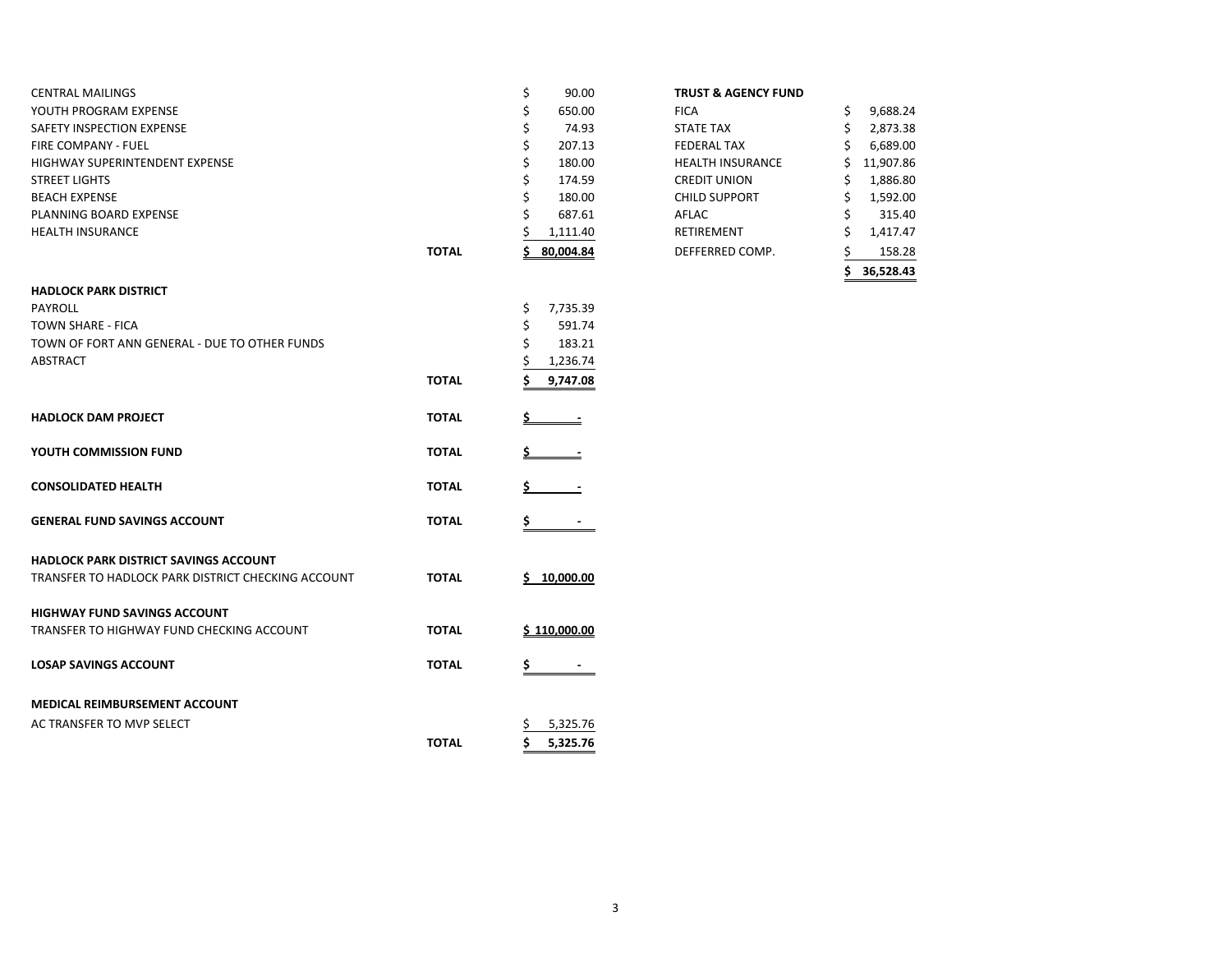| <b>CENTRAL MAILINGS</b>        |              | 90.00     | <b>TRUST &amp; AGENCY FUND</b> |           |
|--------------------------------|--------------|-----------|--------------------------------|-----------|
| YOUTH PROGRAM EXPENSE          |              | 650.00    | <b>FICA</b>                    | 9,688.24  |
| SAFETY INSPECTION EXPENSE      |              | 74.93     | <b>STATE TAX</b>               | 2,873.38  |
| <b>FIRE COMPANY - FUEL</b>     |              | 207.13    | <b>FEDERAL TAX</b>             | 6,689.00  |
| HIGHWAY SUPERINTENDENT EXPENSE |              | 180.00    | <b>HEALTH INSURANCE</b>        | 11,907.86 |
| <b>STREET LIGHTS</b>           |              | 174.59    | <b>CREDIT UNION</b>            | 1,886.80  |
| <b>BEACH EXPENSE</b>           |              | 180.00    | <b>CHILD SUPPORT</b>           | 1,592.00  |
| PLANNING BOARD EXPENSE         |              | 687.61    | AFLAC                          | 315.40    |
| <b>HEALTH INSURANCE</b>        |              | 1,111.40  | RETIREMENT                     | 1,417.47  |
|                                | <b>TOTAL</b> | 80.004.84 | DEFFERRED COMP.                | 158.28    |

 $PAYROL$ L $\zeta$  7,735.39

**HADLOCK PARK DISTRICT**

|       | \$<br>90.00  | <b>TRUST &amp; AGENCY FUND</b> |                 |
|-------|--------------|--------------------------------|-----------------|
|       | \$<br>650.00 | <b>FICA</b>                    | \$<br>9,688.24  |
|       | \$<br>74.93  | <b>STATE TAX</b>               | \$<br>2,873.38  |
|       | \$<br>207.13 | <b>FEDERAL TAX</b>             | \$<br>6,689.00  |
|       | \$<br>180.00 | <b>HEALTH INSURANCE</b>        | \$<br>11,907.86 |
|       | \$<br>174.59 | <b>CREDIT UNION</b>            | \$<br>1,886.80  |
|       | \$<br>180.00 | <b>CHILD SUPPORT</b>           | \$<br>1,592.00  |
|       | \$<br>687.61 | AFLAC                          | 315.40          |
|       | 1,111.40     | <b>RETIREMENT</b>              | \$<br>1,417.47  |
| TOTAL | 80,004.84    | DEFFERRED COMP.                | 158.28          |
|       |              |                                | 36,528.43       |

# TOWN SHARE - FICA  $\angle$  591.74 TOWN OF FORT ANN GENERAL - DUE TO OTHER FUNDS  $\zeta$  183.21  $\begin{array}{ccccccc} \text{ABSTRACT} & \text{A} & \text{B} & \text{A} & \text{B} & \text{B} & \text{B} & \text{B} & \text{B} & \text{B} & \text{B} & \text{B} & \text{B} & \text{B} & \text{B} & \text{B} & \text{B} & \text{B} & \text{B} & \text{B} & \text{B} & \text{B} & \text{B} & \text{B} & \text{B} & \text{B} & \text{B} & \text{B} & \text{B} & \text{B} & \text{B} & \text{B} & \text{B} & \text{B} & \text{B} & \$ **TOTAL \$ 9,747.08 HADLOCK DAM PROJECT <b>EXAMPLOCK DAM PROJECT YOUTH COMMISSION FUND TOTAL \$ - CONSOLIDATED HEALTH** *ALCONSOLIDATED <b>HEALTH* **GENERAL FUND SAVINGS ACCOUNT TOTAL \$ - HADLOCK PARK DISTRICT SAVINGS ACCOUNT** TRANSFER TO HADLOCK PARK DISTRICT CHECKING ACCOUNT **TOTAL \$ 10,000.00 HIGHWAY FUND SAVINGS ACCOUNT** TRANSFER TO HIGHWAY FUND CHECKING ACCOUNT **TOTAL \$ 110,000.00**

| <b>LOSAP SAVINGS ACCOUNT</b>         | <b>TOTAL</b> | $\overline{\phantom{0}}$ |
|--------------------------------------|--------------|--------------------------|
| <b>MEDICAL REIMBURSEMENT ACCOUNT</b> |              |                          |
| AC TRANSFER TO MVP SELECT            |              | 5,325.76                 |
|                                      | <b>TOTAL</b> | 5.325.76                 |